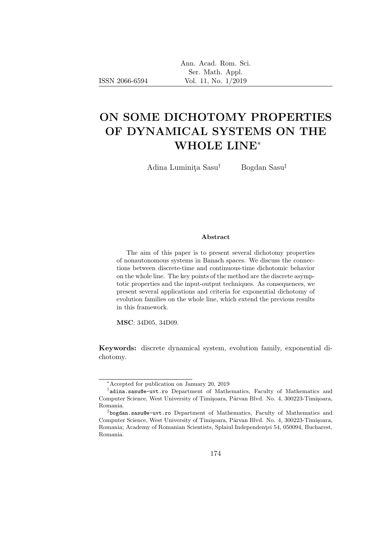# ON SOME DICHOTOMY PROPERTIES OF DYNAMICAL SYSTEMS ON THE WHOLE LINE<sup>∗</sup>

Adina Luminita Sasu<sup>†</sup> Bogdan Sasu<sup>‡</sup>

#### Abstract

The aim of this paper is to present several dichotomy properties of nonautonomous systems in Banach spaces. We discuss the connections between discrete-time and continuous-time dichotomic behavior on the whole line. The key points of the method are the discrete asymptotic properties and the input-output techniques. As consequences, we present several applications and criteria for exponential dichotomy of evolution families on the whole line, which extend the previous results in this framework.

MSC: 34D05, 34D09.

ISSN 2066-6594

Keywords: discrete dynamical system, evolution family, exponential dichotomy.

<sup>∗</sup>Accepted for publication on January 20, 2019

<sup>†</sup> adina.sasu@e-uvt.ro Department of Mathematics, Faculty of Mathematics and Computer Science, West University of Timişoara, Pârvan Blvd. No. 4, 300223-Timișoara, Romania.

<sup>‡</sup> bogdan.sasu@e-uvt.ro Department of Mathematics, Faculty of Mathematics and Computer Science, West University of Timișoara, Pârvan Blvd. No. 4, 300223-Timișoara, Romania; Academy of Romanian Scientists, Splaiul Independenței 54, 050094, Bucharest, Romania.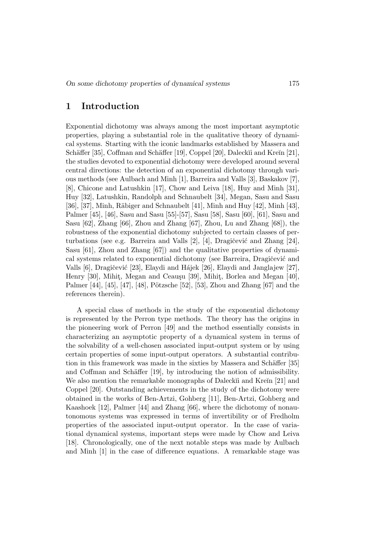#### 1 Introduction

Exponential dichotomy was always among the most important asymptotic properties, playing a substantial role in the qualitative theory of dynamical systems. Starting with the iconic landmarks established by Massera and Schäffer [35], Coffman and Schäffer [19], Coppel [20], Daleckĭi and Kreĭn [21], the studies devoted to exponential dichotomy were developed around several central directions: the detection of an exponential dichotomy through various methods (see Aulbach and Minh [1], Barreira and Valls [3], Baskakov [7], [8], Chicone and Latushkin [17], Chow and Leiva [18], Huy and Minh [31], Huy [32], Latushkin, Randolph and Schnaubelt [34], Megan, Sasu and Sasu [36], [37], Minh, Räbiger and Schnaubelt [41], Minh and Huy [42], Minh [43], Palmer [45], [46], Sasu and Sasu [55]-[57], Sasu [58], Sasu [60], [61], Sasu and Sasu [62], Zhang [66], Zhou and Zhang [67], Zhou, Lu and Zhang [68]), the robustness of the exponential dichotomy subjected to certain classes of perturbations (see e.g. Barreira and Valls [2], [4], Dragičević and Zhang [24], Sasu [61], Zhou and Zhang [67]) and the qualitative properties of dynamical systems related to exponential dichotomy (see Barreira, Dragičević and Valls [6], Dragičević [23], Elaydi and Hájek [26], Elaydi and Janglajew [27], Henry [30], Mihit, Megan and Ceauşu [39], Mihit, Borlea and Megan [40], Palmer [44], [45], [47], [48], Pötzsche [52], [53], Zhou and Zhang [67] and the references therein).

A special class of methods in the study of the exponential dichotomy is represented by the Perron type methods. The theory has the origins in the pioneering work of Perron [49] and the method essentially consists in characterizing an asymptotic property of a dynamical system in terms of the solvability of a well-chosen associated input-output system or by using certain properties of some input-output operators. A substantial contribution in this framework was made in the sixties by Massera and Schäffer [35] and Coffman and Schäffer [19], by introducing the notion of admissibility. We also mention the remarkable monographs of Daleck $\ddot{\text{u}}$  and Kre $\ddot{\text{u}}$  [21] and Coppel [20]. Outstanding achievements in the study of the dichotomy were obtained in the works of Ben-Artzi, Gohberg [11], Ben-Artzi, Gohberg and Kaashoek [12], Palmer [44] and Zhang [66], where the dichotomy of nonautonomous systems was expressed in terms of invertibility or of Fredholm properties of the associated input-output operator. In the case of variational dynamical systems, important steps were made by Chow and Leiva [18]. Chronologically, one of the next notable steps was made by Aulbach and Minh [1] in the case of difference equations. A remarkable stage was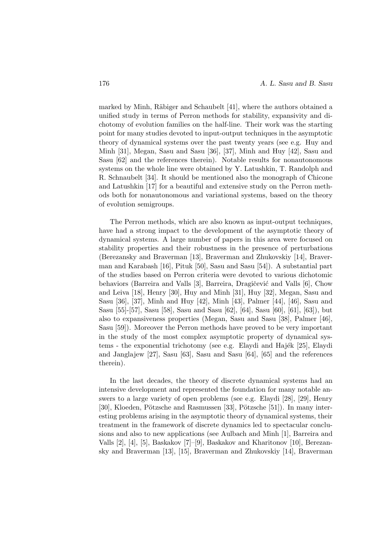marked by Minh, Räbiger and Schaubelt [41], where the authors obtained a unified study in terms of Perron methods for stability, expansivity and dichotomy of evolution families on the half-line. Their work was the starting point for many studies devoted to input-output techniques in the asymptotic theory of dynamical systems over the past twenty years (see e.g. Huy and Minh [31], Megan, Sasu and Sasu [36], [37], Minh and Huy [42], Sasu and Sasu [62] and the references therein). Notable results for nonautonomous systems on the whole line were obtained by Y. Latushkin, T. Randolph and R. Schnaubelt [34]. It should be mentioned also the monograph of Chicone and Latushkin [17] for a beautiful and extensive study on the Perron methods both for nonautonomous and variational systems, based on the theory of evolution semigroups.

The Perron methods, which are also known as input-output techniques, have had a strong impact to the development of the asymptotic theory of dynamical systems. A large number of papers in this area were focused on stability properties and their robustness in the presence of perturbations (Berezansky and Braverman [13], Braverman and Zhukovskiy [14], Braverman and Karabash [16], Pituk [50], Sasu and Sasu [54]). A substantial part of the studies based on Perron criteria were devoted to various dichotomic behaviors (Barreira and Valls [3], Barreira, Dragičević and Valls [6], Chow and Leiva [18], Henry [30], Huy and Minh [31], Huy [32], Megan, Sasu and Sasu [36], [37], Minh and Huy [42], Minh [43], Palmer [44], [46], Sasu and Sasu [55]-[57], Sasu [58], Sasu and Sasu [62], [64], Sasu [60], [61], [63]), but also to expansiveness properties (Megan, Sasu and Sasu [38], Palmer [46], Sasu [59]). Moreover the Perron methods have proved to be very important in the study of the most complex asymptotic property of dynamical systems - the exponential trichotomy (see e.g. Elaydi and Hajék [25], Elaydi and Janglajew  $[27]$ , Sasu  $[63]$ , Sasu and Sasu  $[64]$ ,  $[65]$  and the references therein).

In the last decades, the theory of discrete dynamical systems had an intensive development and represented the foundation for many notable answers to a large variety of open problems (see e.g. Elaydi [28], [29], Henry [30], Kloeden, Pötzsche and Rasmussen [33], Pötzsche [51]). In many interesting problems arising in the asymptotic theory of dynamical systems, their treatment in the framework of discrete dynamics led to spectacular conclusions and also to new applications (see Aulbach and Minh [1], Barreira and Valls [2], [4], [5], Baskakov [7]–[9], Baskakov and Kharitonov [10], Berezansky and Braverman [13], [15], Braverman and Zhukovskiy [14], Braverman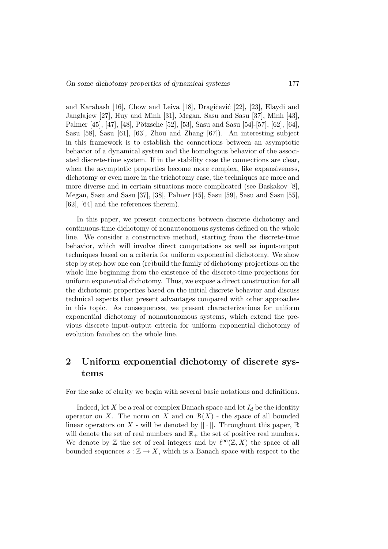and Karabash [16], Chow and Leiva [18], Dragičević [22], [23], Elaydi and Janglajew [27], Huy and Minh [31], Megan, Sasu and Sasu [37], Minh [43], Palmer [45], [47], [48], Pötzsche [52], [53], Sasu and Sasu [54]-[57], [62], [64], Sasu [58], Sasu [61], [63], Zhou and Zhang [67]). An interesting subject in this framework is to establish the connections between an asymptotic behavior of a dynamical system and the homologous behavior of the associated discrete-time system. If in the stability case the connections are clear, when the asymptotic properties become more complex, like expansiveness, dichotomy or even more in the trichotomy case, the techniques are more and more diverse and in certain situations more complicated (see Baskakov [8], Megan, Sasu and Sasu [37], [38], Palmer [45], Sasu [59], Sasu and Sasu [55], [62], [64] and the references therein).

In this paper, we present connections between discrete dichotomy and continuous-time dichotomy of nonautonomous systems defined on the whole line. We consider a constructive method, starting from the discrete-time behavior, which will involve direct computations as well as input-output techniques based on a criteria for uniform exponential dichotomy. We show step by step how one can (re)build the family of dichotomy projections on the whole line beginning from the existence of the discrete-time projections for uniform exponential dichotomy. Thus, we expose a direct construction for all the dichotomic properties based on the initial discrete behavior and discuss technical aspects that present advantages compared with other approaches in this topic. As consequences, we present characterizations for uniform exponential dichotomy of nonautonomous systems, which extend the previous discrete input-output criteria for uniform exponential dichotomy of evolution families on the whole line.

## 2 Uniform exponential dichotomy of discrete systems

For the sake of clarity we begin with several basic notations and definitions.

Indeed, let X be a real or complex Banach space and let  $I_d$  be the identity operator on X. The norm on X and on  $\mathcal{B}(X)$  - the space of all bounded linear operators on X - will be denoted by  $|| \cdot ||$ . Throughout this paper,  $\mathbb R$ will denote the set of real numbers and  $\mathbb{R}_+$  the set of positive real numbers. We denote by  $\mathbb Z$  the set of real integers and by  $\ell^{\infty}(\mathbb Z, X)$  the space of all bounded sequences  $s : \mathbb{Z} \to X$ , which is a Banach space with respect to the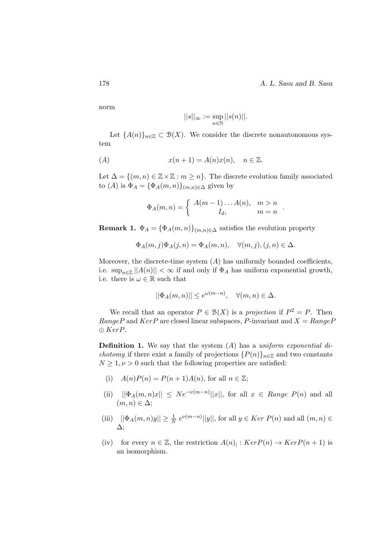178 **A. L. Sasu and B. Sasu** 

.

norm

$$
||s||_{\infty} := \sup_{n \in \mathbb{N}} ||s(n)||.
$$

Let  ${A(n)}_{n\in\mathbb{Z}}\subset B(X)$ . We consider the discrete nonautonomous system

$$
(A) \t x(n+1) = A(n)x(n), \t n \in \mathbb{Z}.
$$

Let  $\Delta = \{(m, n) \in \mathbb{Z} \times \mathbb{Z} : m \geq n\}$ . The discrete evolution family associated to (A) is  $\Phi_A = {\Phi_A(m,n)}_{(m,n)\in\Delta}$  given by

$$
\Phi_A(m,n) = \begin{cases} A(m-1)\dots A(n), & m > n \\ I_d, & m = n \end{cases}
$$

**Remark 1.**  $\Phi_A = {\Phi_A(m,n)}_{(m,n)\in\Delta}$  satisfies the evolution property

$$
\Phi_A(m,j)\Phi_A(j,n) = \Phi_A(m,n), \quad \forall (m,j), (j,n) \in \Delta.
$$

Moreover, the discrete-time system  $(A)$  has uniformly bounded coefficients, i.e.  $\sup_{n\in\mathbb{Z}}||A(n)||<\infty$  if and only if  $\Phi_A$  has uniform exponential growth, i.e. there is  $\omega \in \mathbb{R}$  such that

$$
||\Phi_A(m,n)|| \le e^{\omega(m-n)}, \quad \forall (m,n) \in \Delta.
$$

We recall that an operator  $P \in \mathcal{B}(X)$  is a projection if  $P^2 = P$ . Then RangeP and  $KerP$  are closed linear subspaces, P-invariant and  $X = RangeP$  $\oplus KerP.$ 

**Definition 1.** We say that the system  $(A)$  has a uniform exponential di*chotomy* if there exist a family of projections  $\{P(n)\}_{n\in\mathbb{Z}}$  and two constants  $N \geq 1, \nu > 0$  such that the following properties are satisfied:

- (i)  $A(n)P(n) = P(n+1)A(n)$ , for all  $n \in \mathbb{Z}$ ;
- (ii)  $||\Phi_A(m,n)x|| \leq Ne^{-\nu(m-n)}||x||$ , for all  $x \in Range \ P(n)$  and all  $(m, n) \in \Delta$ ;
- (iii)  $||\Phi_A(m, n)y|| \geq \frac{1}{N} e^{\nu(m-n)}||y||$ , for all  $y \in Ker P(n)$  and all  $(m, n) \in$ ∆;
- (iv) for every  $n \in \mathbb{Z}$ , the restriction  $A(n)$ :  $KerP(n) \rightarrow KerP(n+1)$  is an isomorphism.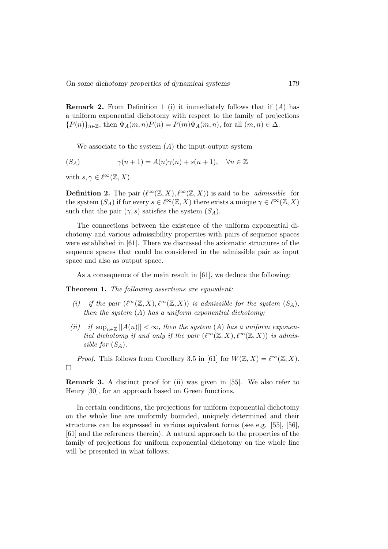**Remark 2.** From Definition 1 (i) it immediately follows that if  $(A)$  has a uniform exponential dichotomy with respect to the family of projections  ${P(n)}_{n\in\mathbb{Z}}$ , then  $\Phi_A(m,n)P(n) = P(m)\Phi_A(m,n)$ , for all  $(m,n) \in \Delta$ .

We associate to the system  $(A)$  the input-output system

$$
(S_A) \qquad \qquad \gamma(n+1) = A(n)\gamma(n) + s(n+1), \quad \forall n \in \mathbb{Z}
$$

with  $s, \gamma \in \ell^{\infty}(\mathbb{Z}, X)$ .

**Definition 2.** The pair  $(\ell^{\infty}(\mathbb{Z}, X), \ell^{\infty}(\mathbb{Z}, X))$  is said to be *admissible* for the system  $(S_A)$  if for every  $s \in \ell^{\infty}(\mathbb{Z}, X)$  there exists a unique  $\gamma \in \ell^{\infty}(\mathbb{Z}, X)$ such that the pair  $(\gamma, s)$  satisfies the system  $(S_A)$ .

The connections between the existence of the uniform exponential dichotomy and various admissibility properties with pairs of sequence spaces were established in [61]. There we discussed the axiomatic structures of the sequence spaces that could be considered in the admissible pair as input space and also as output space.

As a consequence of the main result in [61], we deduce the following:

Theorem 1. The following assertions are equivalent:

- (i) if the pair  $(\ell^{\infty}(\mathbb{Z}, X), \ell^{\infty}(\mathbb{Z}, X))$  is admissible for the system  $(S_A)$ , then the system  $(A)$  has a uniform exponential dichotomy;
- (ii) if  $\sup_{n\in\mathbb{Z}}||A(n)|| < \infty$ , then the system (A) has a uniform exponential dichotomy if and only if the pair  $(\ell^{\infty}(\mathbb{Z}, X), \ell^{\infty}(\mathbb{Z}, X))$  is admissible for  $(S_A)$ .

*Proof.* This follows from Corollary 3.5 in [61] for  $W(\mathbb{Z}, X) = \ell^{\infty}(\mathbb{Z}, X)$ .  $\Box$ 

Remark 3. A distinct proof for (ii) was given in [55]. We also refer to Henry [30], for an approach based on Green functions.

In certain conditions, the projections for uniform exponential dichotomy on the whole line are uniformly bounded, uniquely determined and their structures can be expressed in various equivalent forms (see e.g. [55], [56], [61] and the references therein). A natural approach to the properties of the family of projections for uniform exponential dichotomy on the whole line will be presented in what follows.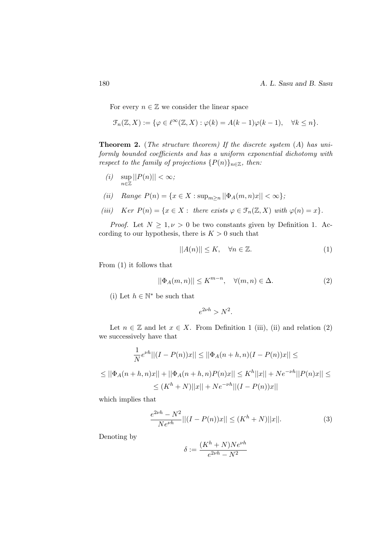For every  $n \in \mathbb{Z}$  we consider the linear space

$$
\mathcal{F}_n(\mathbb{Z}, X) := \{ \varphi \in \ell^{\infty}(\mathbb{Z}, X) : \varphi(k) = A(k-1)\varphi(k-1), \quad \forall k \le n \}.
$$

**Theorem 2.** (The structure theorem) If the discrete system  $(A)$  has uniformly bounded coefficients and has a uniform exponential dichotomy with respect to the family of projections  $\{P(n)\}_{n\in\mathbb{Z}}$ , then:

 $(i)$  sup n∈Z  $||P(n)|| < \infty;$ 

$$
(ii) \quad Range \ P(n) = \{x \in X : \sup_{m \ge n} ||\Phi_A(m, n)x|| < \infty\};
$$

(iii) Ker 
$$
P(n) = \{x \in X : \text{ there exists } \varphi \in \mathcal{F}_n(\mathbb{Z}, X) \text{ with } \varphi(n) = x\}.
$$

*Proof.* Let  $N \geq 1, \nu > 0$  be two constants given by Definition 1. According to our hypothesis, there is  $K > 0$  such that

$$
||A(n)|| \le K, \quad \forall n \in \mathbb{Z}.
$$
 (1)

From (1) it follows that

$$
||\Phi_A(m,n)|| \le K^{m-n}, \quad \forall (m,n) \in \Delta.
$$
 (2)

(i) Let  $h \in \mathbb{N}^*$  be such that

$$
e^{2\nu h} > N^2.
$$

Let  $n \in \mathbb{Z}$  and let  $x \in X$ . From Definition 1 (iii), (ii) and relation (2) we successively have that

$$
\frac{1}{N}e^{\nu h}||(I - P(n))x|| \le ||\Phi_A(n+h, n)(I - P(n))x|| \le
$$
  
\n
$$
\le ||\Phi_A(n+h, n)x|| + ||\Phi_A(n+h, n)P(n)x|| \le K^h||x|| + Ne^{-\nu h}||P(n)x|| \le
$$
  
\n
$$
\le (K^h + N)||x|| + Ne^{-\nu h}||(I - P(n))x||
$$

which implies that

$$
\frac{e^{2\nu h} - N^2}{N e^{\nu h}} ||(I - P(n))x|| \le (K^h + N) ||x||. \tag{3}
$$

Denoting by

$$
\delta:=\frac{(K^h+N)Ne^{\nu h}}{e^{2\nu h}-N^2}
$$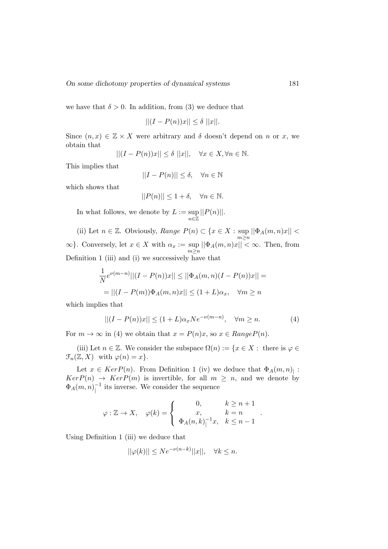we have that  $\delta > 0$ . In addition, from (3) we deduce that

$$
||(I - P(n))x|| \le \delta ||x||.
$$

Since  $(n, x) \in \mathbb{Z} \times X$  were arbitrary and  $\delta$  doesn't depend on n or x, we obtain that

$$
||(I - P(n))x|| \le \delta ||x||, \quad \forall x \in X, \forall n \in \mathbb{N}.
$$

This implies that

$$
||I - P(n)|| \le \delta, \quad \forall n \in \mathbb{N}
$$

which shows that

$$
||P(n)|| \le 1 + \delta, \quad \forall n \in \mathbb{N}.
$$

In what follows, we denote by  $L := \sup$ n∈Z  $||P(n)||.$ 

(ii) Let  $n \in \mathbb{Z}$ . Obviously, Range  $P(n) \subset \{x \in X : \text{sup}$  $\sup_{m\geq n} ||\Phi_A(m,n)x|| <$  $\infty$ }. Conversely, let  $x \in X$  with  $\alpha_x := \sup_{m \geq n} ||\Phi_A(m, n)x|| < \infty$ . Then, from Definition 1 (iii) and (i) we successively have that

$$
\frac{1}{N}e^{\nu(m-n)}||(I - P(n))x|| \le ||\Phi_A(m, n)(I - P(n))x|| =
$$
  
=  $||(I - P(m))\Phi_A(m, n)x|| \le (1 + L)\alpha_x, \quad \forall m \ge n$ 

which implies that

$$
||(I - P(n))x|| \le (1 + L)\alpha_x Ne^{-\nu(m-n)}, \quad \forall m \ge n.
$$
 (4)

For  $m \to \infty$  in (4) we obtain that  $x = P(n)x$ , so  $x \in RangeP(n)$ .

(iii) Let  $n \in \mathbb{Z}$ . We consider the subspace  $\Omega(n) := \{x \in X : \text{ there is } \varphi \in \mathbb{Z} \}$  $\mathcal{F}_n(\mathbb{Z}, X)$  with  $\varphi(n) = x$ .

Let  $x \in Ker P(n)$ . From Definition 1 (iv) we deduce that  $\Phi_A(m,n)$ :  $KerP(n) \rightarrow KerP(m)$  is invertible, for all  $m \geq n$ , and we denote by  $\Phi_A(m,n)^{-1}_1$  $\frac{-1}{1}$  its inverse. We consider the sequence

$$
\varphi: \mathbb{Z} \to X, \quad \varphi(k) = \begin{cases} 0, & k \geq n+1 \\ x, & k = n \\ \Phi_A(n,k)|^{-1}x, & k \leq n-1 \end{cases}.
$$

Using Definition 1 (iii) we deduce that

$$
||\varphi(k)|| \le N e^{-\nu(n-k)} ||x||, \quad \forall k \le n.
$$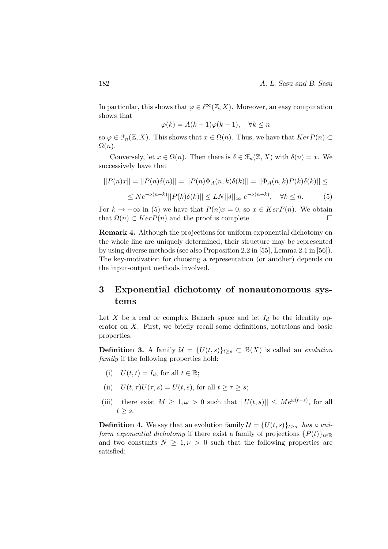In particular, this shows that  $\varphi \in \ell^{\infty}(\mathbb{Z}, X)$ . Moreover, an easy computation shows that

$$
\varphi(k) = A(k-1)\varphi(k-1), \quad \forall k \le n
$$

so  $\varphi \in \mathcal{F}_n(\mathbb{Z}, X)$ . This shows that  $x \in \Omega(n)$ . Thus, we have that  $KerP(n) \subset$  $\Omega(n)$ .

Conversely, let  $x \in \Omega(n)$ . Then there is  $\delta \in \mathcal{F}_n(\mathbb{Z}, X)$  with  $\delta(n) = x$ . We successively have that

$$
||P(n)x|| = ||P(n)\delta(n)|| = ||P(n)\Phi_A(n,k)\delta(k)|| = ||\Phi_A(n,k)P(k)\delta(k)|| \le
$$
  
 
$$
\le Ne^{-\nu(n-k)}||P(k)\delta(k)|| \le LN||\delta||_{\infty} e^{-\nu(n-k)}, \quad \forall k \le n.
$$
 (5)

For  $k \to -\infty$  in (5) we have that  $P(n)x = 0$ , so  $x \in Ker P(n)$ . We obtain that  $\Omega(n) \subset Ker P(n)$  and the proof is complete.

Remark 4. Although the projections for uniform exponential dichotomy on the whole line are uniquely determined, their structure may be represented by using diverse methods (see also Proposition 2.2 in [55], Lemma 2.1 in [56]). The key-motivation for choosing a representation (or another) depends on the input-output methods involved.

### 3 Exponential dichotomy of nonautonomous systems

Let X be a real or complex Banach space and let  $I_d$  be the identity operator on X. First, we briefly recall some definitions, notations and basic properties.

**Definition 3.** A family  $\mathcal{U} = \{U(t, s)\}_{t>s} \subset \mathcal{B}(X)$  is called an *evolution* family if the following properties hold:

- (i)  $U(t, t) = I_d$ , for all  $t \in \mathbb{R}$ ;
- (ii)  $U(t, \tau)U(\tau, s) = U(t, s)$ , for all  $t \geq \tau \geq s$ ;
- (iii) there exist  $M \geq 1, \omega > 0$  such that  $||U(t, s)|| \leq Me^{\omega(t-s)}$ , for all  $t \geq s$ .

**Definition 4.** We say that an evolution family  $\mathcal{U} = \{U(t, s)\}_{t>s}$  has a uniform exponential dichotomy if there exist a family of projections  $\{P(t)\}_{t\in\mathbb{R}}$ and two constants  $N \geq 1, \nu > 0$  such that the following properties are satisfied: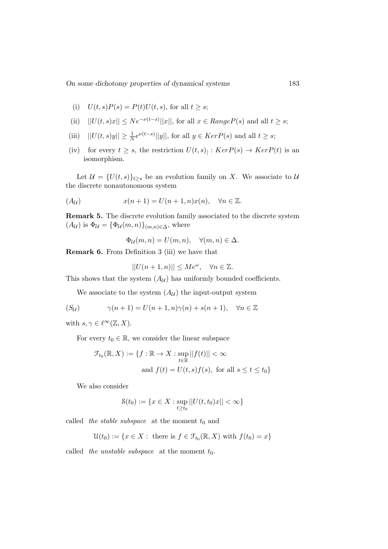- (i)  $U(t, s)P(s) = P(t)U(t, s)$ , for all  $t > s$ ;
- (ii)  $||U(t, s)x|| \leq Ne^{-\nu(t-s)}||x||$ , for all  $x \in Range P(s)$  and all  $t \geq s$ ;
- (iii)  $||U(t, s)y|| \ge \frac{1}{N}e^{\nu(t-s)}||y||$ , for all  $y \in Ker P(s)$  and all  $t \ge s$ ;
- (iv) for every  $t \geq s$ , the restriction  $U(t, s)$  :  $Ker P(s) \to Ker P(t)$  is an isomorphism.

Let  $\mathcal{U} = \{U(t, s)\}_{t \geq s}$  be an evolution family on X. We associate to  $\mathcal{U}$ the discrete nonautonomous system

$$
(A_{\mathcal{U}}) \qquad x(n+1) = U(n+1,n)x(n), \quad \forall n \in \mathbb{Z}.
$$

Remark 5. The discrete evolution family associated to the discrete system  $(A_{\mathcal{U}})$  is  $\Phi_{\mathcal{U}} = {\Phi_{\mathcal{U}}(m,n)}_{(m,n)\in\Delta}$ , where

 $\Phi_{\mathcal{U}}(m, n) = U(m, n), \quad \forall (m, n) \in \Delta.$ 

Remark 6. From Definition 3 (iii) we have that

$$
||U(n+1,n)|| \le Me^{\omega}, \quad \forall n \in \mathbb{Z}.
$$

This shows that the system  $(A_U)$  has uniformly bounded coefficients.

We associate to the system  $(A_{\mathcal{U}})$  the input-output system

$$
(S_{\mathcal{U}}) \qquad \gamma(n+1) = U(n+1,n)\gamma(n) + s(n+1), \quad \forall n \in \mathbb{Z}
$$

with  $s, \gamma \in \ell^{\infty}(\mathbb{Z}, X)$ .

For every  $t_0 \in \mathbb{R}$ , we consider the linear subspace

$$
\mathcal{F}_{t_0}(\mathbb{R}, X) := \{ f : \mathbb{R} \to X : \sup_{t \in \mathbb{R}} ||f(t)|| < \infty
$$
  
and  $f(t) = U(t, s)f(s)$ , for all  $s \le t \le t_0 \}$ 

We also consider

$$
\mathcal{S}(t_0) := \{ x \in X : \sup_{t \ge t_0} ||U(t, t_0)x|| < \infty \}
$$

called the stable subspace at the moment  $t_0$  and

 $\mathcal{U}(t_0) := \{x \in X : \text{ there is } f \in \mathcal{F}_{t_0}(\mathbb{R}, X) \text{ with } f(t_0) = x\}$ 

called the unstable subspace at the moment  $t_0$ .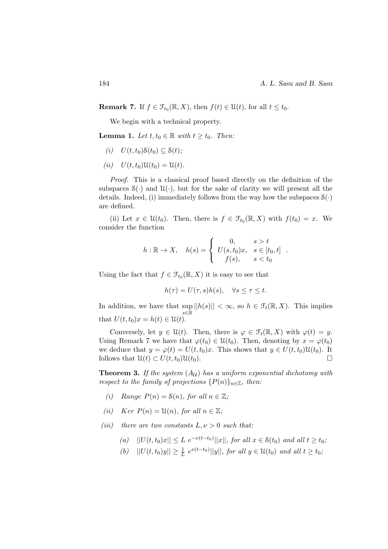**Remark 7.** If  $f \in \mathcal{F}_{t_0}(\mathbb{R}, X)$ , then  $f(t) \in \mathcal{U}(t)$ , for all  $t \leq t_0$ .

We begin with a technical property.

**Lemma 1.** Let  $t, t_0 \in \mathbb{R}$  with  $t \geq t_0$ . Then:

- (i)  $U(t, t_0)S(t_0) \subseteq S(t);$
- (*ii*)  $U(t, t_0)U(t_0) = U(t)$ .

Proof. This is a classical proof based directly on the definition of the subspaces  $\mathcal{S}(\cdot)$  and  $\mathcal{U}(\cdot)$ , but for the sake of clarity we will present all the details. Indeed, (i) immediately follows from the way how the subspaces  $S(\cdot)$ are defined.

(ii) Let  $x \in \mathcal{U}(t_0)$ . Then, there is  $f \in \mathcal{F}_{t_0}(\mathbb{R}, X)$  with  $f(t_0) = x$ . We consider the function

$$
h: \mathbb{R} \to X, \quad h(s) = \begin{cases} 0, & s > t \\ U(s, t_0)x, & s \in [t_0, t] \\ f(s), & s < t_0 \end{cases}.
$$

Using the fact that  $f \in \mathcal{F}_{t_0}(\mathbb{R}, X)$  it is easy to see that

$$
h(\tau) = U(\tau, s)h(s), \quad \forall s \le \tau \le t.
$$

In addition, we have that sup  $\sup_{s \in \mathbb{R}} ||h(s)|| < \infty$ , so  $h \in \mathcal{F}_t(\mathbb{R}, X)$ . This implies that  $U(t, t_0)x = h(t) \in \mathcal{U}(t)$ .

Conversely, let  $y \in \mathcal{U}(t)$ . Then, there is  $\varphi \in \mathcal{F}_t(\mathbb{R}, X)$  with  $\varphi(t) = y$ . Using Remark 7 we have that  $\varphi(t_0) \in \mathcal{U}(t_0)$ . Then, denoting by  $x = \varphi(t_0)$ we deduce that  $y = \varphi(t) = U(t, t_0)x$ . This shows that  $y \in U(t, t_0) \mathfrak{U}(t_0)$ . It follows that  $\mathfrak{U}(t) \subset U(t,t_0)\mathfrak{U}(t_0)$ .

**Theorem 3.** If the system  $(A_{\mathcal{U}})$  has a uniform exponential dichotomy with respect to the family of projections  $\{P(n)\}_{n\in\mathbb{Z}}$ , then:

- (i) Range  $P(n) = \mathcal{S}(n)$ , for all  $n \in \mathbb{Z}$ ;
- (ii) Ker  $P(n) = \mathfrak{U}(n)$ , for all  $n \in \mathbb{Z}$ ;
- (iii) there are two constants  $L, \nu > 0$  such that:
	- (a)  $||U(t, t_0)x|| \leq L e^{-\nu(t-t_0)}||x||$ , for all  $x \in \mathcal{S}(t_0)$  and all  $t \geq t_0$ ;
	- (b)  $||U(t, t_0)y|| \geq \frac{1}{L} e^{\nu(t-t_0)}||y||$ , for all  $y \in \mathcal{U}(t_0)$  and all  $t \geq t_0$ ;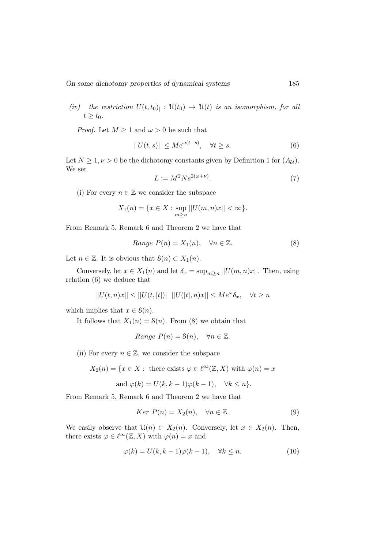(iv) the restriction  $U(t,t_0)|: \mathfrak{U}(t_0) \to \mathfrak{U}(t)$  is an isomorphism, for all  $t \geq t_0$ .

*Proof.* Let  $M \geq 1$  and  $\omega > 0$  be such that

$$
||U(t,s)|| \le Me^{\omega(t-s)}, \quad \forall t \ge s.
$$
 (6)

Let  $N \geq 1, \nu > 0$  be the dichotomy constants given by Definition 1 for  $(A_{\mathcal{U}})$ . We set

$$
L := M^2 N e^{2(\omega + \nu)}.\tag{7}
$$

(i) For every  $n \in \mathbb{Z}$  we consider the subspace

$$
X_1(n) = \{ x \in X : \sup_{m \ge n} ||U(m, n)x|| < \infty \}.
$$

From Remark 5, Remark 6 and Theorem 2 we have that

Range 
$$
P(n) = X_1(n)
$$
,  $\forall n \in \mathbb{Z}$ . (8)

Let  $n \in \mathbb{Z}$ . It is obvious that  $\mathcal{S}(n) \subset X_1(n)$ .

Conversely, let  $x \in X_1(n)$  and let  $\delta_x = \sup_{m \ge n} |U(m, n)x|$ . Then, using relation (6) we deduce that

$$
||U(t,n)x||\leq ||U(t,[t])||~||U([t],n)x||\leq Me^{\omega}\delta_x,\quad \forall t\geq n
$$

which implies that  $x \in \mathcal{S}(n)$ .

It follows that  $X_1(n) = \mathcal{S}(n)$ . From (8) we obtain that

Range 
$$
P(n) = \mathcal{S}(n)
$$
,  $\forall n \in \mathbb{Z}$ .

(ii) For every  $n \in \mathbb{Z}$ , we consider the subspace

$$
X_2(n) = \{x \in X : \text{ there exists } \varphi \in \ell^{\infty}(\mathbb{Z}, X) \text{ with } \varphi(n) = x\}
$$

and 
$$
\varphi(k) = U(k, k-1)\varphi(k-1), \quad \forall k \leq n
$$
.

From Remark 5, Remark 6 and Theorem 2 we have that

$$
Ker P(n) = X_2(n), \quad \forall n \in \mathbb{Z}.
$$
\n(9)

We easily observe that  $\mathcal{U}(n) \subset X_2(n)$ . Conversely, let  $x \in X_2(n)$ . Then, there exists  $\varphi \in \ell^{\infty}(\mathbb{Z}, X)$  with  $\varphi(n) = x$  and

$$
\varphi(k) = U(k, k - 1)\varphi(k - 1), \quad \forall k \le n.
$$
\n(10)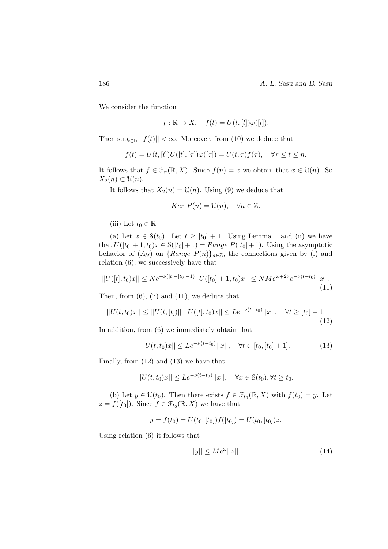186 **A. L. Sasu and B. Sasu** 

We consider the function

$$
f: \mathbb{R} \to X
$$
,  $f(t) = U(t, [t])\varphi([t]).$ 

Then  $\sup_{t\in\mathbb{R}}||f(t)|| < \infty$ . Moreover, from (10) we deduce that

$$
f(t) = U(t, [t])U([t], [\tau])\varphi([\tau]) = U(t, \tau)f(\tau), \quad \forall \tau \le t \le n.
$$

It follows that  $f \in \mathcal{F}_n(\mathbb{R}, X)$ . Since  $f(n) = x$  we obtain that  $x \in \mathcal{U}(n)$ . So  $X_2(n) \subset \mathfrak{U}(n)$ .

It follows that  $X_2(n) = \mathcal{U}(n)$ . Using (9) we deduce that

$$
Ker P(n) = \mathfrak{U}(n), \quad \forall n \in \mathbb{Z}.
$$

(iii) Let  $t_0 \in \mathbb{R}$ .

(a) Let  $x \in \mathcal{S}(t_0)$ . Let  $t \geq [t_0] + 1$ . Using Lemma 1 and (ii) we have that  $U([t_0] + 1, t_0)x \in \mathcal{S}([t_0] + 1) = Range P([t_0] + 1)$ . Using the asymptotic behavior of  $(A_{\mathcal{U}})$  on  ${Range P(n)}_{n\in\mathbb{Z}}$ , the connections given by (i) and relation (6), we successively have that

$$
||U([t], t_0)x|| \le N e^{-\nu([t]-[t_0]-1)} ||U([t_0]+1, t_0)x|| \le N M e^{\omega + 2\nu} e^{-\nu(t-t_0)} ||x||. \tag{11}
$$

Then, from  $(6)$ ,  $(7)$  and  $(11)$ , we deduce that

$$
||U(t, t_0)x|| \le ||U(t, [t])|| \, ||U([t], t_0)x|| \le L e^{-\nu(t - t_0)} ||x||, \quad \forall t \ge [t_0] + 1.
$$
\n(12)

In addition, from (6) we immediately obtain that

$$
||U(t, t_0)x|| \leq Le^{-\nu(t-t_0)}||x||, \quad \forall t \in [t_0, [t_0] + 1].
$$
 (13)

Finally, from (12) and (13) we have that

$$
||U(t,t_0)x|| \leq Le^{-\nu(t-t_0)}||x||, \quad \forall x \in \mathcal{S}(t_0), \forall t \geq t_0.
$$

(b) Let  $y \in \mathcal{U}(t_0)$ . Then there exists  $f \in \mathcal{F}_{t_0}(\mathbb{R}, X)$  with  $f(t_0) = y$ . Let  $z = f([t_0])$ . Since  $f \in \mathcal{F}_{t_0}(\mathbb{R}, X)$  we have that

$$
y = f(t_0) = U(t_0, [t_0])f([t_0]) = U(t_0, [t_0])z.
$$

Using relation (6) it follows that

$$
||y|| \le Me^{\omega}||z||. \tag{14}
$$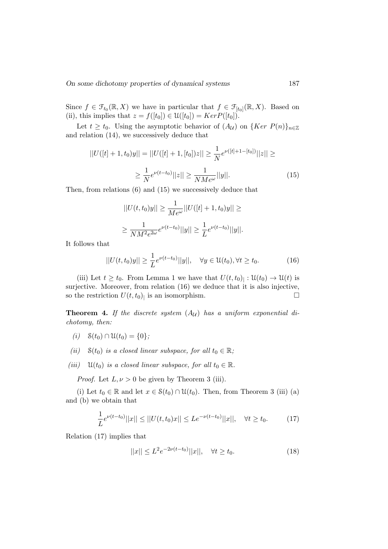Since  $f \in \mathcal{F}_{t_0}(\mathbb{R}, X)$  we have in particular that  $f \in \mathcal{F}_{[t_0]}(\mathbb{R}, X)$ . Based on (ii), this implies that  $z = f([t_0]) \in \mathcal{U}([t_0]) = Ker P([t_0])$ .

Let  $t \geq t_0$ . Using the asymptotic behavior of  $(A_{\mathcal{U}})$  on  $\{Ker P(n)\}_{n\in\mathbb{Z}}$ and relation (14), we successively deduce that

$$
||U([t] + 1, t_0)y|| = ||U([t] + 1, [t_0])z|| \ge \frac{1}{N}e^{\nu([t] + 1 - [t_0])}||z|| \ge
$$
  

$$
\ge \frac{1}{N}e^{\nu(t - t_0)}||z|| \ge \frac{1}{NM e^{\omega}}||y||.
$$
 (15)

Then, from relations (6) and (15) we successively deduce that

$$
||U(t, t_0)y|| \ge \frac{1}{Me^{\omega}}||U([t] + 1, t_0)y|| \ge
$$
  

$$
\ge \frac{1}{NM^2 e^{2\omega}} e^{\nu(t - t_0)}||y|| \ge \frac{1}{L} e^{\nu(t - t_0)}||y||.
$$

It follows that

$$
||U(t,t_0)y|| \ge \frac{1}{L}e^{\nu(t-t_0)}||y||, \quad \forall y \in \mathcal{U}(t_0), \forall t \ge t_0.
$$
 (16)

(iii) Let  $t \geq t_0$ . From Lemma 1 we have that  $U(t,t_0)$  :  $\mathfrak{U}(t_0) \to \mathfrak{U}(t)$  is surjective. Moreover, from relation (16) we deduce that it is also injective, so the restriction  $U(t, t_0)$  is an isomorphism.

**Theorem 4.** If the discrete system  $(A_U)$  has a uniform exponential dichotomy, then:

- (i)  $\mathcal{S}(t_0) \cap \mathcal{U}(t_0) = \{0\};$
- (ii)  $\mathcal{S}(t_0)$  is a closed linear subspace, for all  $t_0 \in \mathbb{R}$ ;
- (iii)  $\mathfrak{U}(t_0)$  is a closed linear subspace, for all  $t_0 \in \mathbb{R}$ .

*Proof.* Let  $L, \nu > 0$  be given by Theorem 3 (iii).

(i) Let  $t_0 \in \mathbb{R}$  and let  $x \in \mathcal{S}(t_0) \cap \mathcal{U}(t_0)$ . Then, from Theorem 3 (iii) (a) and (b) we obtain that

$$
\frac{1}{L}e^{\nu(t-t_0)}||x|| \le ||U(t,t_0)x|| \le L e^{-\nu(t-t_0)}||x||, \quad \forall t \ge t_0.
$$
 (17)

Relation (17) implies that

$$
||x|| \le L^2 e^{-2\nu(t-t_0)} ||x||, \quad \forall t \ge t_0.
$$
\n(18)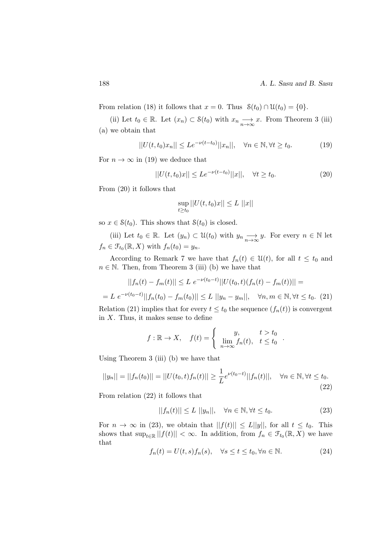From relation (18) it follows that  $x = 0$ . Thus  $\mathcal{S}(t_0) \cap \mathcal{U}(t_0) = \{0\}.$ 

(ii) Let  $t_0 \in \mathbb{R}$ . Let  $(x_n) \subset \mathcal{S}(t_0)$  with  $x_n \longrightarrow x$ . From Theorem 3 (iii) (a) we obtain that

$$
||U(t, t_0)x_n|| \leq Le^{-\nu(t - t_0)}||x_n||, \quad \forall n \in \mathbb{N}, \forall t \geq t_0.
$$
 (19)

For  $n \to \infty$  in (19) we deduce that

$$
||U(t, t_0)x|| \leq Le^{-\nu(t - t_0)}||x||, \quad \forall t \geq t_0.
$$
 (20)

From (20) it follows that

$$
\sup_{t \ge t_0} ||U(t, t_0)x|| \le L ||x||
$$

so  $x \in \mathcal{S}(t_0)$ . This shows that  $\mathcal{S}(t_0)$  is closed.

(iii) Let  $t_0 \in \mathbb{R}$ . Let  $(y_n) \subset \mathcal{U}(t_0)$  with  $y_n \longrightarrow y$ . For every  $n \in \mathbb{N}$  let  $f_n \in \mathcal{F}_{t_0}(\mathbb{R}, X)$  with  $f_n(t_0) = y_n$ .

According to Remark 7 we have that  $f_n(t) \in \mathcal{U}(t)$ , for all  $t \leq t_0$  and  $n \in \mathbb{N}$ . Then, from Theorem 3 (iii) (b) we have that

$$
||f_n(t) - f_m(t)|| \le L e^{-\nu(t_0 - t)} ||U(t_0, t)(f_n(t) - f_m(t))|| =
$$

 $= L \ e^{-\nu(t_0 - t)} ||f_n(t_0) - f_m(t_0)|| \le L \ ||y_n - y_m||, \quad \forall n, m \in \mathbb{N}, \forall t \le t_0.$  (21) Relation (21) implies that for every  $t \le t_0$  the sequence  $(f_n(t))$  is convergent in  $X$ . Thus, it makes sense to define

$$
f: \mathbb{R} \to X, \quad f(t) = \begin{cases} y, & t > t_0 \\ \lim_{n \to \infty} f_n(t), & t \le t_0 \end{cases}
$$

Using Theorem 3 (iii) (b) we have that

$$
||y_n|| = ||f_n(t_0)|| = ||U(t_0, t)f_n(t)|| \ge \frac{1}{L}e^{\nu(t_0 - t)}||f_n(t)||, \quad \forall n \in \mathbb{N}, \forall t \le t_0.
$$
\n(22)

From relation (22) it follows that

$$
||f_n(t)|| \le L ||y_n||, \quad \forall n \in \mathbb{N}, \forall t \le t_0.
$$
\n
$$
(23)
$$

.

For  $n \to \infty$  in (23), we obtain that  $||f(t)|| \le L||y||$ , for all  $t \le t_0$ . This shows that  $\sup_{t\in\mathbb{R}}||f(t)|| < \infty$ . In addition, from  $f_n \in \mathcal{F}_{t_0}(\mathbb{R}, X)$  we have that

$$
f_n(t) = U(t, s) f_n(s), \quad \forall s \le t \le t_0, \forall n \in \mathbb{N}.
$$
 (24)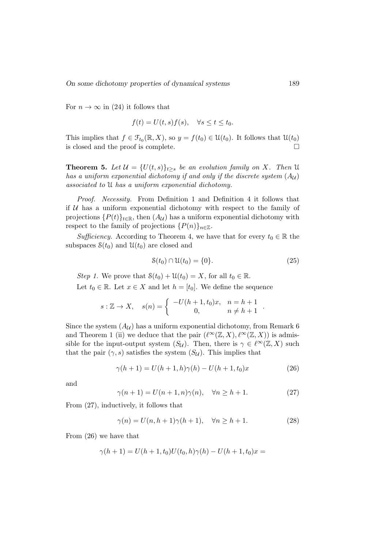For  $n \to \infty$  in (24) it follows that

$$
f(t) = U(t, s)f(s), \quad \forall s \le t \le t_0.
$$

This implies that  $f \in \mathcal{F}_{t_0}(\mathbb{R}, X)$ , so  $y = f(t_0) \in \mathcal{U}(t_0)$ . It follows that  $\mathcal{U}(t_0)$ is closed and the proof is complete.

**Theorem 5.** Let  $\mathcal{U} = \{U(t, s)\}_{t>s}$  be an evolution family on X. Then U has a uniform exponential dichotomy if and only if the discrete system  $(A_{\mathcal{U}})$ associated to U has a uniform exponential dichotomy.

Proof. Necessity. From Definition 1 and Definition 4 it follows that if  $U$  has a uniform exponential dichotomy with respect to the family of projections  $\{P(t)\}_{t\in\mathbb{R}}$ , then  $(A_{\mathcal{U}})$  has a uniform exponential dichotomy with respect to the family of projections  $\{P(n)\}_{n\in\mathbb{Z}}$ .

Sufficiency. According to Theorem 4, we have that for every  $t_0 \in \mathbb{R}$  the subspaces  $\mathcal{S}(t_0)$  and  $\mathcal{U}(t_0)$  are closed and

$$
\mathcal{S}(t_0) \cap \mathcal{U}(t_0) = \{0\}.\tag{25}
$$

Step 1. We prove that  $S(t_0) + U(t_0) = X$ , for all  $t_0 \in \mathbb{R}$ . Let  $t_0 \in \mathbb{R}$ . Let  $x \in X$  and let  $h = [t_0]$ . We define the sequence

$$
s: \mathbb{Z} \to X
$$
,  $s(n) = \begin{cases} -U(h+1, t_0)x, & n = h+1 \\ 0, & n \neq h+1 \end{cases}$ .

Since the system  $(A_{\mathcal{U}})$  has a uniform exponential dichotomy, from Remark 6 and Theorem 1 (ii) we deduce that the pair  $(\ell^{\infty}(\mathbb{Z}, X), \ell^{\infty}(\mathbb{Z}, X))$  is admissible for the input-output system  $(S_{\mathcal{U}})$ . Then, there is  $\gamma \in \ell^{\infty}(\mathbb{Z}, X)$  such that the pair  $(\gamma, s)$  satisfies the system  $(S_{\mathcal{U}})$ . This implies that

$$
\gamma(h+1) = U(h+1,h)\gamma(h) - U(h+1,t_0)x \tag{26}
$$

and

$$
\gamma(n+1) = U(n+1, n)\gamma(n), \quad \forall n \ge h+1.
$$
 (27)

From (27), inductively, it follows that

$$
\gamma(n) = U(n, h+1)\gamma(h+1), \quad \forall n \ge h+1.
$$
 (28)

From (26) we have that

$$
\gamma(h+1) = U(h+1, t_0)U(t_0, h)\gamma(h) - U(h+1, t_0)x =
$$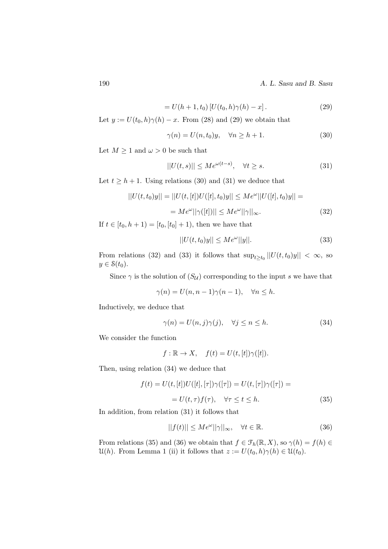190 A. L. Sasu and B. Sasu

$$
= U(h+1, t_0) [U(t_0, h)\gamma(h) - x]. \tag{29}
$$

Let  $y := U(t_0, h) \gamma(h) - x$ . From (28) and (29) we obtain that

$$
\gamma(n) = U(n, t_0)y, \quad \forall n \ge h + 1. \tag{30}
$$

Let  $M \geq 1$  and  $\omega > 0$  be such that

$$
||U(t,s)|| \le Me^{\omega(t-s)}, \quad \forall t \ge s.
$$
\n(31)

Let  $t \geq h + 1$ . Using relations (30) and (31) we deduce that

$$
||U(t, t_0)y|| = ||U(t, [t])U([t], t_0)y|| \le Me^{\omega}||U([t], t_0)y|| =
$$
  
=  $Me^{\omega}||\gamma([t])|| \le Me^{\omega}||\gamma||_{\infty}.$  (32)

If  $t \in [t_0, h+1] = [t_0, [t_0]+1)$ , then we have that

$$
||U(t, t_0)y|| \le Me^{\omega}||y||. \tag{33}
$$

From relations (32) and (33) it follows that  $\sup_{t\geq t_0} ||U(t, t_0)y|| < \infty$ , so  $y \in \mathcal{S}(t_0)$ .

Since  $\gamma$  is the solution of  $(S_{\mathcal{U}})$  corresponding to the input s we have that

$$
\gamma(n) = U(n, n-1)\gamma(n-1), \quad \forall n \le h.
$$

Inductively, we deduce that

$$
\gamma(n) = U(n, j)\gamma(j), \quad \forall j \le n \le h. \tag{34}
$$

We consider the function

$$
f: \mathbb{R} \to X
$$
,  $f(t) = U(t, [t])\gamma([t])$ .

Then, using relation (34) we deduce that

$$
f(t) = U(t, [t])U([t], [\tau])\gamma([\tau]) = U(t, [\tau])\gamma([\tau]) =
$$
  
= 
$$
U(t, \tau)f(\tau), \quad \forall \tau \le t \le h.
$$
 (35)

In addition, from relation (31) it follows that

$$
||f(t)|| \le Me^{\omega}||\gamma||_{\infty}, \quad \forall t \in \mathbb{R}.
$$
 (36)

From relations (35) and (36) we obtain that  $f \in \mathcal{F}_h(\mathbb{R}, X)$ , so  $\gamma(h) = f(h) \in$  $\mathcal{U}(h)$ . From Lemma 1 (ii) it follows that  $z := U(t_0, h)\gamma(h) \in \mathcal{U}(t_0)$ .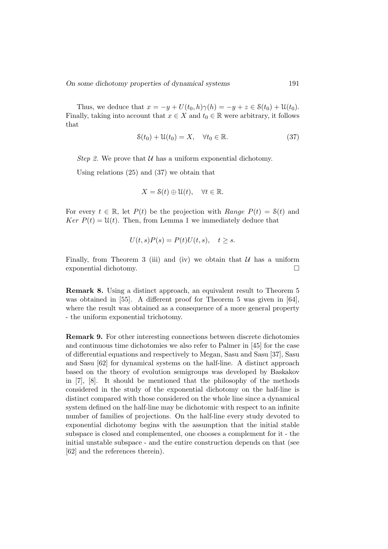Thus, we deduce that  $x = -y + U(t_0, h) \gamma(h) = -y + z \in \mathcal{S}(t_0) + \mathcal{U}(t_0)$ . Finally, taking into account that  $x \in X$  and  $t_0 \in \mathbb{R}$  were arbitrary, it follows that

$$
\mathcal{S}(t_0) + \mathcal{U}(t_0) = X, \quad \forall t_0 \in \mathbb{R}.\tag{37}
$$

Step 2. We prove that  $U$  has a uniform exponential dichotomy.

Using relations (25) and (37) we obtain that

$$
X = \mathcal{S}(t) \oplus \mathcal{U}(t), \quad \forall t \in \mathbb{R}.
$$

For every  $t \in \mathbb{R}$ , let  $P(t)$  be the projection with Range  $P(t) = \mathcal{S}(t)$  and  $Ker P(t) = \mathfrak{U}(t)$ . Then, from Lemma 1 we immediately deduce that

$$
U(t,s)P(s) = P(t)U(t,s), \quad t \ge s.
$$

Finally, from Theorem 3 (iii) and (iv) we obtain that  $U$  has a uniform exponential dichotomy.

Remark 8. Using a distinct approach, an equivalent result to Theorem 5 was obtained in [55]. A different proof for Theorem 5 was given in [64], where the result was obtained as a consequence of a more general property - the uniform exponential trichotomy.

Remark 9. For other interesting connections between discrete dichotomies and continuous time dichotomies we also refer to Palmer in [45] for the case of differential equations and respectively to Megan, Sasu and Sasu [37], Sasu and Sasu [62] for dynamical systems on the half-line. A distinct approach based on the theory of evolution semigroups was developed by Baskakov in [7], [8]. It should be mentioned that the philosophy of the methods considered in the study of the exponential dichotomy on the half-line is distinct compared with those considered on the whole line since a dynamical system defined on the half-line may be dichotomic with respect to an infinite number of families of projections. On the half-line every study devoted to exponential dichotomy begins with the assumption that the initial stable subspace is closed and complemented, one chooses a complement for it - the initial unstable subspace - and the entire construction depends on that (see [62] and the references therein).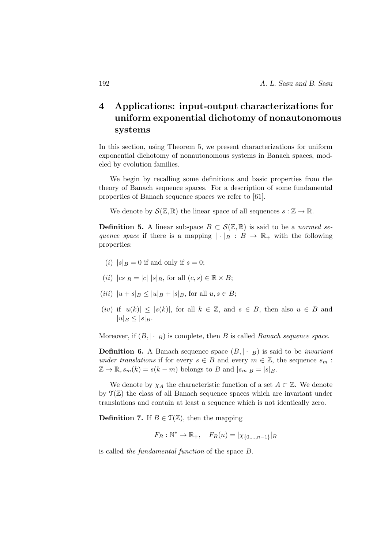# 4 Applications: input-output characterizations for uniform exponential dichotomy of nonautonomous systems

In this section, using Theorem 5, we present characterizations for uniform exponential dichotomy of nonautonomous systems in Banach spaces, modeled by evolution families.

We begin by recalling some definitions and basic properties from the theory of Banach sequence spaces. For a description of some fundamental properties of Banach sequence spaces we refer to [61].

We denote by  $\mathcal{S}(\mathbb{Z}, \mathbb{R})$  the linear space of all sequences  $s : \mathbb{Z} \to \mathbb{R}$ .

**Definition 5.** A linear subspace  $B \subset \mathcal{S}(\mathbb{Z}, \mathbb{R})$  is said to be a *normed se*quence space if there is a mapping  $|\cdot|_B : B \to \mathbb{R}_+$  with the following properties:

- (i)  $|s|_B = 0$  if and only if  $s = 0$ ;
- (ii)  $|cs|_B = |c| |s|_B$ , for all  $(c, s) \in \mathbb{R} \times B$ ;
- (*iii*)  $|u + s|_B < |u|_B + |s|_B$ , for all  $u, s \in B$ ;
- (iv) if  $|u(k)| \leq |s(k)|$ , for all  $k \in \mathbb{Z}$ , and  $s \in B$ , then also  $u \in B$  and  $|u|_B \leq |s|_B.$

Moreover, if  $(B, |\cdot|_B)$  is complete, then B is called Banach sequence space.

**Definition 6.** A Banach sequence space  $(B, |\cdot|_B)$  is said to be *invariant* under translations if for every  $s \in B$  and every  $m \in \mathbb{Z}$ , the sequence  $s_m$ :  $\mathbb{Z} \to \mathbb{R}, s_m(k) = s(k-m)$  belongs to B and  $|s_m|_B = |s|_B$ .

We denote by  $\chi_A$  the characteristic function of a set  $A \subset \mathbb{Z}$ . We denote by  $\mathfrak{T}(\mathbb{Z})$  the class of all Banach sequence spaces which are invariant under translations and contain at least a sequence which is not identically zero.

**Definition 7.** If  $B \in \mathcal{T}(\mathbb{Z})$ , then the mapping

$$
F_B: \mathbb{N}^* \to \mathbb{R}_+, \quad F_B(n) = |\chi_{\{0,\dots,n-1\}}|_B
$$

is called the fundamental function of the space B.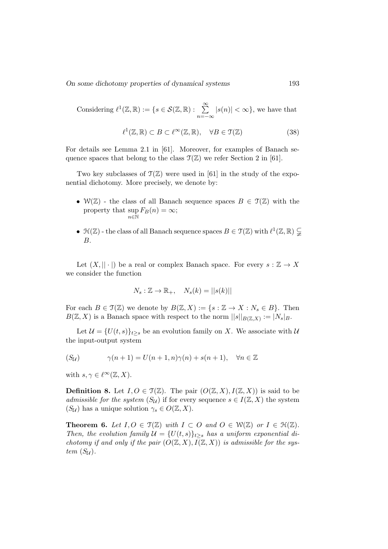On some dichotomy properties of dynamical systems 193

Considering  $\ell^1(\mathbb{Z}, \mathbb{R}) := \{s \in \mathcal{S}(\mathbb{Z}, \mathbb{R}) : \sum_{s=1}^{\infty}$  $n=-\infty$  $|s(n)| < \infty$ , we have that

$$
\ell^1(\mathbb{Z}, \mathbb{R}) \subset B \subset \ell^{\infty}(\mathbb{Z}, \mathbb{R}), \quad \forall B \in \mathfrak{T}(\mathbb{Z})
$$
 (38)

For details see Lemma 2.1 in [61]. Moreover, for examples of Banach sequence spaces that belong to the class  $\mathfrak{T}(\mathbb{Z})$  we refer Section 2 in [61].

Two key subclasses of  $\mathfrak{T}(\mathbb{Z})$  were used in [61] in the study of the exponential dichotomy. More precisely, we denote by:

- $W(\mathbb{Z})$  the class of all Banach sequence spaces  $B \in \mathcal{T}(\mathbb{Z})$  with the property that  $\sup F_B(n) = \infty$ ;  $n \in \mathbb{N}$
- $\mathcal{H}(\mathbb{Z})$  the class of all Banach sequence spaces  $B \in \mathcal{T}(\mathbb{Z})$  with  $\ell^1(\mathbb{Z}, \mathbb{R}) \subsetneq$ B.

Let  $(X, || \cdot ||)$  be a real or complex Banach space. For every  $s : \mathbb{Z} \to X$ we consider the function

$$
N_s: \mathbb{Z} \to \mathbb{R}_+, \quad N_s(k) = ||s(k)||
$$

For each  $B \in \mathfrak{T}(\mathbb{Z})$  we denote by  $B(\mathbb{Z}, X) := \{s : \mathbb{Z} \to X : N_s \in B\}$ . Then  $B(\mathbb{Z}, X)$  is a Banach space with respect to the norm  $||s||_{B(\mathbb{Z}, X)} := |N_s|_{B}$ .

Let  $\mathcal{U} = \{U(t, s)\}_{t>s}$  be an evolution family on X. We associate with  $\mathcal{U}$ the input-output system

$$
(S_{\mathcal{U}}) \qquad \gamma(n+1) = U(n+1,n)\gamma(n) + s(n+1), \quad \forall n \in \mathbb{Z}
$$

with  $s, \gamma \in \ell^{\infty}(\mathbb{Z}, X)$ .

**Definition 8.** Let  $I, O \in \mathcal{T}(\mathbb{Z})$ . The pair  $(O(\mathbb{Z}, X), I(\mathbb{Z}, X))$  is said to be admissible for the system  $(S_{\mathcal{U}})$  if for every sequence  $s \in I(\mathbb{Z}, X)$  the system  $(S_{\mathcal{U}})$  has a unique solution  $\gamma_s \in O(\mathbb{Z}, X)$ .

**Theorem 6.** Let  $I, O \in \mathfrak{T}(\mathbb{Z})$  with  $I \subset O$  and  $O \in \mathcal{W}(\mathbb{Z})$  or  $I \in \mathfrak{H}(\mathbb{Z})$ . Then, the evolution family  $\mathcal{U} = \{U(t, s)\}_{t>s}$  has a uniform exponential dichotomy if and only if the pair  $(O(\mathbb{Z}, X), I(\mathbb{Z}, X))$  is admissible for the system  $(S_{\mathcal{U}})$ .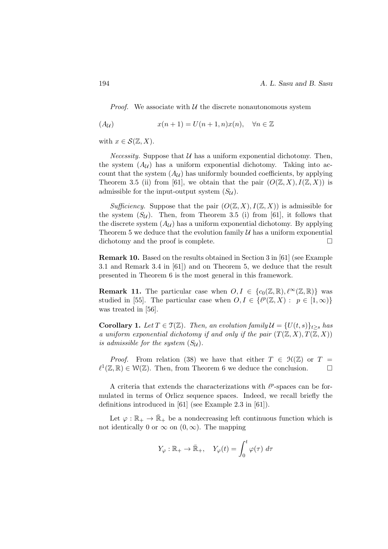*Proof.* We associate with  $U$  the discrete nonautonomous system

$$
(A_{\mathcal{U}}) \qquad x(n+1) = U(n+1, n)x(n), \quad \forall n \in \mathbb{Z}
$$

with  $x \in \mathcal{S}(\mathbb{Z}, X)$ .

*Necessity.* Suppose that  $U$  has a uniform exponential dichotomy. Then, the system  $(A_{\mathcal{U}})$  has a uniform exponential dichotomy. Taking into account that the system  $(A_{\mathcal{U}})$  has uniformly bounded coefficients, by applying Theorem 3.5 (ii) from [61], we obtain that the pair  $(O(\mathbb{Z}, X), I(\mathbb{Z}, X))$  is admissible for the input-output system  $(S_{\mathcal{U}})$ .

Sufficiency. Suppose that the pair  $(O(\mathbb{Z}, X), I(\mathbb{Z}, X))$  is admissible for the system  $(S_U)$ . Then, from Theorem 3.5 (i) from [61], it follows that the discrete system  $(A_{\mathcal{U}})$  has a uniform exponential dichotomy. By applying Theorem 5 we deduce that the evolution family  $U$  has a uniform exponential dichotomy and the proof is complete.

Remark 10. Based on the results obtained in Section 3 in [61] (see Example 3.1 and Remark 3.4 in [61]) and on Theorem 5, we deduce that the result presented in Theorem 6 is the most general in this framework.

**Remark 11.** The particular case when  $O, I \in \{c_0(\mathbb{Z}, \mathbb{R}), \ell^{\infty}(\mathbb{Z}, \mathbb{R})\}$  was studied in [55]. The particular case when  $O, I \in \{ \ell^p(\mathbb{Z}, X) : p \in [1, \infty) \}$ was treated in [56].

**Corollary 1.** Let  $T \in \mathcal{T}(\mathbb{Z})$ . Then, an evolution family  $\mathcal{U} = \{U(t, s)\}_{t \geq s}$  has a uniform exponential dichotomy if and only if the pair  $(T(\mathbb{Z}, X), T(\mathbb{Z}, X))$ is admissible for the system  $(S_{\mathcal{U}})$ .

*Proof.* From relation (38) we have that either  $T \in \mathcal{H}(\mathbb{Z})$  or  $T =$  $\ell^1(\mathbb{Z}, \mathbb{R}) \in \mathcal{W}(\mathbb{Z})$ . Then, from Theorem 6 we deduce the conclusion. □

A criteria that extends the characterizations with  $\ell^p$ -spaces can be formulated in terms of Orlicz sequence spaces. Indeed, we recall briefly the definitions introduced in [61] (see Example 2.3 in [61]).

Let  $\varphi : \mathbb{R}_+ \to \bar{\mathbb{R}}_+$  be a nondecreasing left continuous function which is not identically 0 or  $\infty$  on  $(0, \infty)$ . The mapping

$$
Y_{\varphi} : \mathbb{R}_{+} \to \bar{\mathbb{R}}_{+}, \quad Y_{\varphi}(t) = \int_{0}^{t} \varphi(\tau) d\tau
$$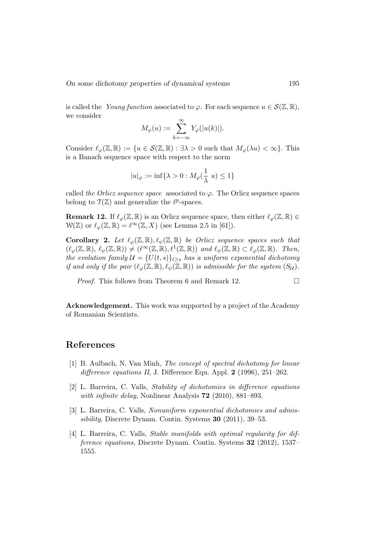is called the *Young function* associated to  $\varphi$ . For each sequence  $u \in \mathcal{S}(\mathbb{Z}, \mathbb{R})$ , we consider

$$
M_{\varphi}(u) := \sum_{k=-\infty}^{\infty} Y_{\varphi}(|u(k)|).
$$

Consider  $\ell_{\varphi}(\mathbb{Z}, \mathbb{R}) := \{u \in \mathcal{S}(\mathbb{Z}, \mathbb{R}) : \exists \lambda > 0 \text{ such that } M_{\varphi}(\lambda u) < \infty\}.$  This is a Banach sequence space with respect to the norm

$$
|u|_\varphi:=\inf\{\lambda>0:M_\varphi(\frac{1}{\lambda}\;u)\leq 1\}
$$

called the Orlicz sequence space associated to  $\varphi$ . The Orlicz sequence spaces belong to  $\mathfrak{T}(\mathbb{Z})$  and generalize the  $\ell^p$ -spaces.

**Remark 12.** If  $\ell_{\varphi}(\mathbb{Z}, \mathbb{R})$  is an Orlicz sequence space, then either  $\ell_{\varphi}(\mathbb{Z}, \mathbb{R}) \in$  $W(\mathbb{Z})$  or  $\ell_{\varphi}(\mathbb{Z}, \mathbb{R}) = \ell^{\infty}(\mathbb{Z}, X)$  (see Lemma 2.5 in [61]).

**Corollary 2.** Let  $\ell_{\varphi}(\mathbb{Z}, \mathbb{R}), \ell_{\psi}(\mathbb{Z}, \mathbb{R})$  be Orlicz sequence spaces such that  $(\ell_{\varphi}(\mathbb{Z}, \mathbb{R}), \ell_{\psi}(\mathbb{Z}, \mathbb{R})) \neq (\ell^{\infty}(\mathbb{Z}, \mathbb{R}), \ell^{1}(\mathbb{Z}, \mathbb{R})) \text{ and } \ell_{\psi}(\mathbb{Z}, \mathbb{R}) \subset \ell_{\varphi}(\mathbb{Z}, \mathbb{R}).$  Then, the evolution family  $\mathcal{U} = \{U(t, s)\}_{t\geq s}$  has a uniform exponential dichotomy if and only if the pair  $(\ell_{\varphi}(\mathbb{Z}, \mathbb{R}), \ell_{\psi}(\mathbb{Z}, \mathbb{R}))$  is admissible for the system  $(S_{\mathcal{U}})$ .

*Proof.* This follows from Theorem 6 and Remark 12.  $\Box$ 

Acknowledgement. This work was supported by a project of the Academy of Romanian Scientists.

#### References

- [1] B. Aulbach, N. Van Minh, The concept of spectral dichotomy for linear difference equations II, J. Difference Equ. Appl. 2 (1996), 251-262.
- [2] L. Barreira, C. Valls, Stability of dichotomies in difference equations with infinite delay, Nonlinear Analysis **72** (2010), 881–893.
- [3] L. Barreira, C. Valls, Nonuniform exponential dichotomies and admissibility, Discrete Dynam. Contin. Systems 30 (2011), 39–53.
- [4] L. Barreira, C. Valls, Stable manifolds with optimal regularity for difference equations, Discrete Dynam. Contin. Systems 32 (2012), 1537– 1555.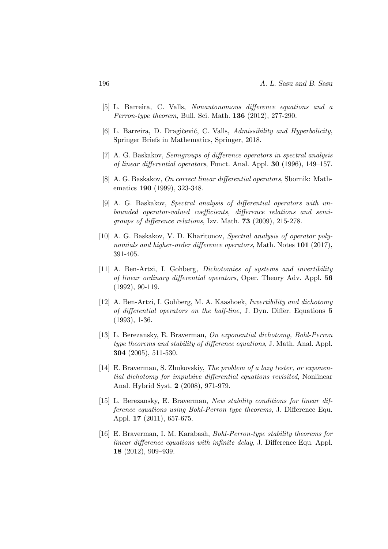- [5] L. Barreira, C. Valls, Nonautonomous difference equations and a Perron-type theorem, Bull. Sci. Math. 136 (2012), 277-290.
- [6] L. Barreira, D. Dragičević, C. Valls, Admissibility and Hyperbolicity, Springer Briefs in Mathematics, Springer, 2018.
- [7] A. G. Baskakov, Semigroups of difference operators in spectral analysis of linear differential operators, Funct. Anal. Appl. 30 (1996), 149–157.
- [8] A. G. Baskakov, On correct linear differential operators, Sbornik: Mathematics 190 (1999), 323-348.
- [9] A. G. Baskakov, Spectral analysis of differential operators with unbounded operator-valued coefficients, difference relations and semigroups of difference relations, Izv. Math. 73 (2009), 215-278.
- [10] A. G. Baskakov, V. D. Kharitonov, Spectral analysis of operator polynomials and higher-order difference operators, Math. Notes 101 (2017), 391-405.
- [11] A. Ben-Artzi, I. Gohberg, Dichotomies of systems and invertibility of linear ordinary differential operators, Oper. Theory Adv. Appl. 56 (1992), 90-119.
- [12] A. Ben-Artzi, I. Gohberg, M. A. Kaashoek, Invertibility and dichotomy of differential operators on the half-line, J. Dyn. Differ. Equations 5 (1993), 1-36.
- [13] L. Berezansky, E. Braverman, On exponential dichotomy, Bohl-Perron type theorems and stability of difference equations, J. Math. Anal. Appl. 304 (2005), 511-530.
- [14] E. Braverman, S. Zhukovskiy, The problem of a lazy tester, or exponential dichotomy for impulsive differential equations revisited, Nonlinear Anal. Hybrid Syst. 2 (2008), 971-979.
- [15] L. Berezansky, E. Braverman, New stability conditions for linear difference equations using Bohl-Perron type theorems, J. Difference Equ. Appl. 17 (2011), 657-675.
- [16] E. Braverman, I. M. Karabash, Bohl-Perron-type stability theorems for linear difference equations with infinite delay, J. Difference Equ. Appl. 18 (2012), 909–939.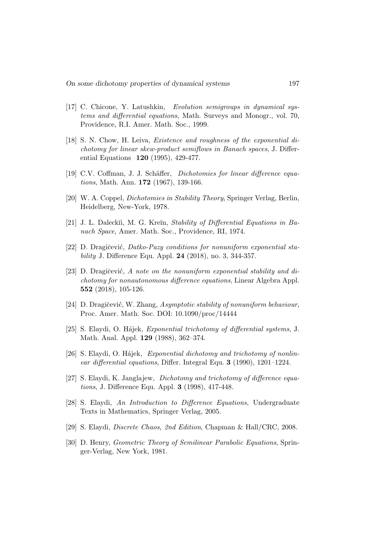- [17] C. Chicone, Y. Latushkin, Evolution semigroups in dynamical systems and differential equations, Math. Surveys and Monogr., vol. 70, Providence, R.I. Amer. Math. Soc., 1999.
- [18] S. N. Chow, H. Leiva, Existence and roughness of the exponential dichotomy for linear skew-product semiflows in Banach spaces, J. Differential Equations 120 (1995), 429-477.
- [19] C.V. Coffman, J. J. Schäffer, *Dichotomies for linear difference equa*tions, Math. Ann. 172 (1967), 139-166.
- [20] W. A. Coppel, Dichotomies in Stability Theory, Springer Verlag, Berlin, Heidelberg, New-York, 1978.
- [21] J. L. Daleckĭi, M. G. Kreĭn, *Stability of Differential Equations in Ba*nach Space, Amer. Math. Soc., Providence, RI, 1974.
- [22] D. Dragičević, Datko-Pazy conditions for nonuniform exponential stability J. Difference Equ. Appl. 24 (2018), no. 3, 344-357.
- [23] D. Dragičević, A note on the nonuniform exponential stability and dichotomy for nonautonomous difference equations, Linear Algebra Appl. 552 (2018), 105-126.
- [24] D. Dragičević, W. Zhang, Asymptotic stability of nonuniform behaviour, Proc. Amer. Math. Soc. DOI: 10.1090/proc/14444
- [25] S. Elaydi, O. Hájek, Exponential trichotomy of differential systems, J. Math. Anal. Appl. 129 (1988), 362–374.
- [26] S. Elaydi, O. Hájek, Exponential dichotomy and trichotomy of nonlinear differential equations, Differ. Integral Equ. 3 (1990), 1201–1224.
- [27] S. Elaydi, K. Janglajew, Dichotomy and trichotomy of difference equations, J. Difference Equ. Appl. 3 (1998), 417-448.
- [28] S. Elaydi, An Introduction to Difference Equations, Undergraduate Texts in Mathematics, Springer Verlag, 2005.
- [29] S. Elaydi, Discrete Chaos, 2nd Edition, Chapman & Hall/CRC, 2008.
- [30] D. Henry, Geometric Theory of Semilinear Parabolic Equations, Springer-Verlag, New York, 1981.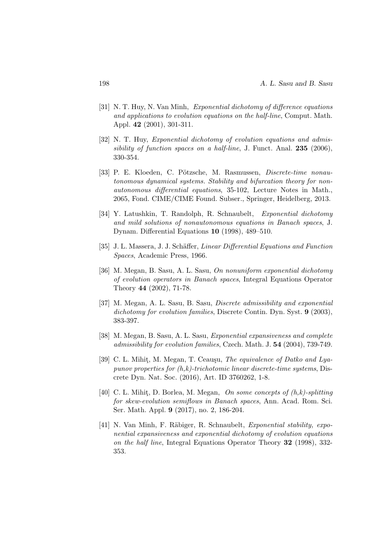- [31] N. T. Huy, N. Van Minh, Exponential dichotomy of difference equations and applications to evolution equations on the half-line, Comput. Math. Appl. 42 (2001), 301-311.
- [32] N. T. Huy, *Exponential dichotomy of evolution equations and admis*sibility of function spaces on a half-line, J. Funct. Anal.  $235$  (2006), 330-354.
- [33] P. E. Kloeden, C. Pötzsche, M. Rasmussen, Discrete-time nonautonomous dynamical systems. Stability and bifurcation theory for nonautonomous differential equations, 35-102, Lecture Notes in Math., 2065, Fond. CIME/CIME Found. Subser., Springer, Heidelberg, 2013.
- [34] Y. Latushkin, T. Randolph, R. Schnaubelt, Exponential dichotomy and mild solutions of nonautonomous equations in Banach spaces, J. Dynam. Differential Equations 10 (1998), 489–510.
- [35] J. L. Massera, J. J. Schäffer, *Linear Differential Equations and Function* Spaces, Academic Press, 1966.
- [36] M. Megan, B. Sasu, A. L. Sasu, On nonuniform exponential dichotomy of evolution operators in Banach spaces, Integral Equations Operator Theory 44 (2002), 71-78.
- [37] M. Megan, A. L. Sasu, B. Sasu, Discrete admissibility and exponential dichotomy for evolution families, Discrete Contin. Dyn. Syst. 9 (2003), 383-397.
- [38] M. Megan, B. Sasu, A. L. Sasu, Exponential expansiveness and complete admissibility for evolution families, Czech. Math. J. 54 (2004), 739-749.
- [39] C. L. Mihit, M. Megan, T. Ceauşu, The equivalence of Datko and Lyapunov properties for  $(h,k)$ -trichotomic linear discrete-time systems, Discrete Dyn. Nat. Soc. (2016), Art. ID 3760262, 1-8.
- [40] C. L. Mihit, D. Borlea, M. Megan, On some concepts of  $(h,k)$ -splitting for skew-evolution semiflows in Banach spaces, Ann. Acad. Rom. Sci. Ser. Math. Appl. 9 (2017), no. 2, 186-204.
- [41] N. Van Minh, F. Räbiger, R. Schnaubelt, Exponential stability, exponential expansiveness and exponential dichotomy of evolution equations on the half line, Integral Equations Operator Theory 32 (1998), 332- 353.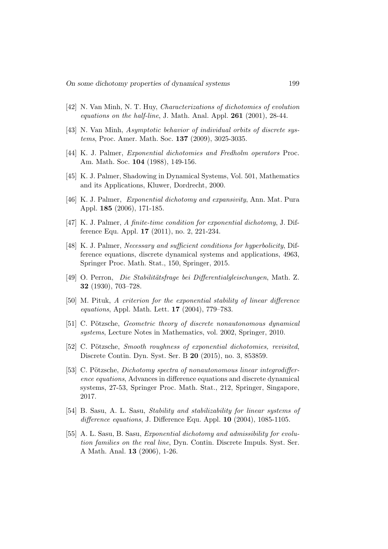- [42] N. Van Minh, N. T. Huy, Characterizations of dichotomies of evolution equations on the half-line, J. Math. Anal. Appl. 261 (2001), 28-44.
- [43] N. Van Minh, Asymptotic behavior of individual orbits of discrete systems, Proc. Amer. Math. Soc. 137 (2009), 3025-3035.
- [44] K. J. Palmer, Exponential dichotomies and Fredholm operators Proc. Am. Math. Soc. 104 (1988), 149-156.
- [45] K. J. Palmer, Shadowing in Dynamical Systems, Vol. 501, Mathematics and its Applications, Kluwer, Dordrecht, 2000.
- [46] K. J. Palmer, Exponential dichotomy and expansivity, Ann. Mat. Pura Appl. 185 (2006), 171-185.
- [47] K. J. Palmer, A finite-time condition for exponential dichotomy, J. Difference Equ. Appl. 17 (2011), no. 2, 221-234.
- [48] K. J. Palmer, Necessary and sufficient conditions for hyperbolicity, Difference equations, discrete dynamical systems and applications, 4963, Springer Proc. Math. Stat., 150, Springer, 2015.
- [49] O. Perron, Die Stabilitätsfrage bei Differentialgleischungen, Math. Z. 32 (1930), 703–728.
- [50] M. Pituk, A criterion for the exponential stability of linear difference equations, Appl. Math. Lett. 17 (2004), 779–783.
- [51] C. Pötzsche, Geometric theory of discrete nonautonomous dynamical systems, Lecture Notes in Mathematics, vol. 2002, Springer, 2010.
- [52] C. Pötzsche, Smooth roughness of exponential dichotomies, revisited, Discrete Contin. Dyn. Syst. Ser. B 20 (2015), no. 3, 853859.
- [53] C. Pötzsche, *Dichotomy spectra of nonautonomous linear integrodiffer*ence equations, Advances in difference equations and discrete dynamical systems, 27-53, Springer Proc. Math. Stat., 212, Springer, Singapore, 2017.
- [54] B. Sasu, A. L. Sasu, Stability and stabilizability for linear systems of difference equations, J. Difference Equ. Appl. 10 (2004), 1085-1105.
- [55] A. L. Sasu, B. Sasu, Exponential dichotomy and admissibility for evolution families on the real line, Dyn. Contin. Discrete Impuls. Syst. Ser. A Math. Anal. 13 (2006), 1-26.